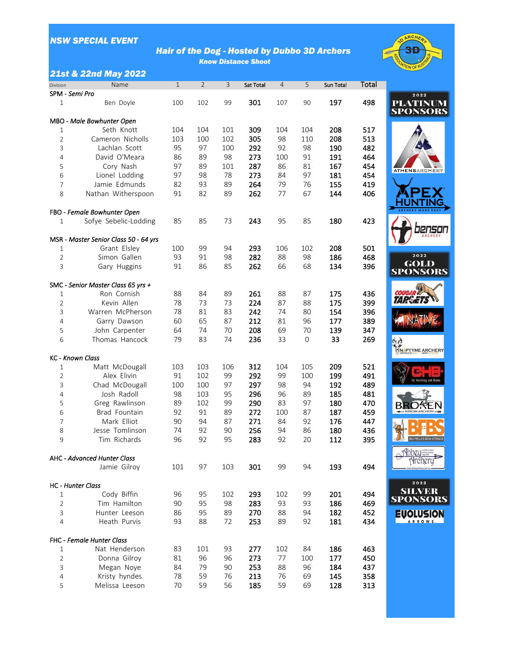# *NSW SPECIAL EVENT*

# *Hair of the Dog - Hosted by Dubbo 3D Archers Know Distance Shoot*



#### *21st & 22nd May 2022*

| Division       | Name                                  | $\mathbf 1$ | $\overline{2}$ | $\mathsf{3}$ | Sat Total | $\overline{4}$ | 5                | Sun Total | Total |
|----------------|---------------------------------------|-------------|----------------|--------------|-----------|----------------|------------------|-----------|-------|
|                | SPM - Semi Pro                        |             |                |              |           |                |                  |           |       |
| 1              | Ben Doyle                             | 100         | 102            | 99           | 301       | 107            | 90               | 197       | 498   |
|                |                                       |             |                |              |           |                |                  |           |       |
|                | MBO - Male Bowhunter Open             |             |                |              |           |                |                  |           |       |
| 1              | Seth Knott                            | 104         | 104            | 101          | 309       | 104            | 104              | 208       | 517   |
| $\overline{2}$ | Cameron Nicholls                      | 103         | 100            | 102          | 305       | 98             | 110              | 208       | 513   |
| 3              | Lachlan Scott                         | 95          | 97             | 100          | 292       | 92             | 98               | 190       | 482   |
| 4              | David O'Meara                         | 86          | 89             | 98           | 273       | 100            | 91               | 191       | 464   |
| 5              | Cory Nash                             | 97          | 89             | 101          | 287       | 86             | 81               | 167       | 454   |
| 6              | Lionel Lodding                        | 97          | 98             | 78           | 273       | 84             | 97               | 181       | 454   |
| $\overline{7}$ | Jamie Edmunds                         | 82          | 93             | 89           | 264       | 79             | 76               | 155       | 419   |
| 8              | Nathan Witherspoon                    | 91          | 82             | 89           | 262       | 77             | 67               | 144       | 406   |
|                | FBO - Female Bowhunter Open           |             |                |              |           |                |                  |           |       |
| 1              | Sofye Sebelic-Lodding                 | 85          | 85             | 73           | 243       | 95             | 85               | 180       | 423   |
|                |                                       |             |                |              |           |                |                  |           |       |
|                | MSR - Master Senior Class 50 - 64 yrs |             |                |              |           |                |                  |           |       |
| 1              | Grant Elsley                          | 100         | 99             | 94           | 293       | 106            | 102              | 208       | 501   |
| $\overline{2}$ | Simon Gallen                          | 93          | 91             | 98           | 282       | 88             | 98               | 186       | 468   |
| 3              | Gary Huggins                          | 91          | 86             | 85           | 262       | 66             | 68               | 134       | 396   |
|                | SMC - Senior Master Class 65 yrs +    |             |                |              |           |                |                  |           |       |
| 1              | Ron Cornish                           | 88          | 84             | 89           | 261       | 88             | 87               | 175       | 436   |
| $\overline{2}$ | Kevin Allen                           | 78          | 73             | 73           | 224       | 87             | 88               | 175       | 399   |
| 3              | Warren McPherson                      | 78          | 81             | 83           | 242       | 74             | 80               | 154       | 396   |
| 4              | Garry Dawson                          | 60          | 65             | 87           | 212       | 81             | 96               | 177       | 389   |
| 5              | John Carpenter                        | 64          | 74             | 70           | 208       | 69             | 70               | 139       | 347   |
| 6              | Thomas Hancock                        | 79          | 83             | 74           | 236       | 33             | $\boldsymbol{0}$ | 33        | 269   |
|                | <b>KC</b> - Known Class               |             |                |              |           |                |                  |           |       |
| 1              | Matt McDougall                        | 103         | 103            | 106          | 312       | 104            | 105              | 209       | 521   |
| $\overline{2}$ | Alex Elivin                           | 91          | 102            | 99           | 292       | 99             | 100              | 199       | 491   |
| 3              | Chad McDougall                        | 100         | 100            | 97           | 297       | 98             | 94               | 192       | 489   |
| 4              | Josh Radoll                           | 98          | 103            | 95           | 296       | 96             | 89               | 185       | 481   |
| 5              | Greg Rawlinson                        | 89          | 102            | 99           | 290       | 83             | 97               | 180       | 470   |
| 6              | Brad Fountain                         | 92          | 91             | 89           | 272       | 100            | 87               | 187       | 459   |
| 7              | Mark Elliot                           | 90          | 94             | 87           | 271       | 84             | 92               | 176       | 447   |
| 8              | Jesse Tomlinson                       | 74          | 92             | 90           | 256       | 94             | 86               | 180       | 436   |
| 9              | Tim Richards                          | 96          | 92             | 95           | 283       | 92             | 20               | 112       | 395   |
|                |                                       |             |                |              |           |                |                  |           |       |
|                | <b>AHC - Advanced Hunter Class</b>    |             |                |              |           |                |                  |           |       |
|                | Jamie Gilroy                          | 101         | 97             | 103          | 301       | 99             | 94               | 193       | 494   |
|                | <b>HC</b> - Hunter Class              |             |                |              |           |                |                  |           |       |
| 1              | Cody Biffin                           | 96          | 95             | 102          | 293       | 102            | 99               | 201       | 494   |
| $\overline{2}$ | Tim Hamilton                          | 90          | 95             | 98           | 283       | 93             | 93               | 186       | 469   |
| 3              | Hunter Leeson                         | 86          | 95             | 89           | 270       | 88             | 94               | 182       | 452   |
| $\overline{4}$ | Heath Purvis                          | 93          | 88             | 72           | 253       | 89             | 92               | 181       | 434   |
|                | FHC - Female Hunter Class             |             |                |              |           |                |                  |           |       |
| $\mathbf 1$    | Nat Henderson                         | 83          | 101            | 93           | 277       | 102            | 84               | 186       | 463   |
| $\overline{2}$ | Donna Gilroy                          | 81          | 96             | 96           | 273       | 77             | 100              | 177       | 450   |
| 3              | Megan Noye                            | 84          | 79             | 90           | 253       | 88             | 96               | 184       | 437   |
| 4              | Kristy hyndes                         | 78          | 59             | 76           | 213       | 76             | 69               | 145       | 358   |
| 5              | Melissa Leeson                        | 70          | 59             | 56           | 185       | 59             | 69               | 128       | 313   |
|                |                                       |             |                |              |           |                |                  |           |       |